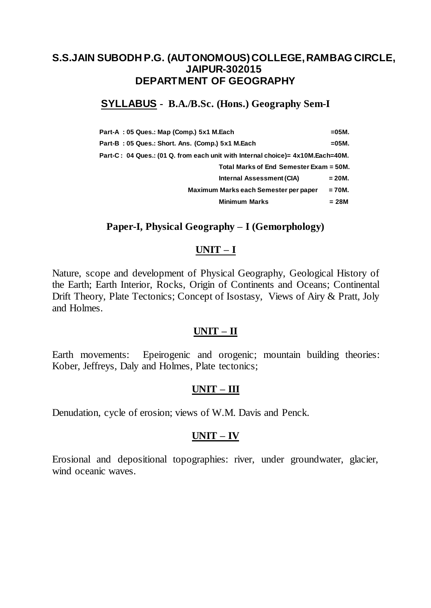# **SYLLABUS - B.A./B.Sc. (Hons.) Geography Sem-I**

| Part-A: 05 Ques.: Map (Comp.) 5x1 M.Each                                        | $=05M$ . |
|---------------------------------------------------------------------------------|----------|
| Part-B: 05 Ques.: Short. Ans. (Comp.) 5x1 M.Each                                | $=05M$ . |
| Part-C : 04 Ques.: (01 Q. from each unit with Internal choice)= 4x10M.Each=40M. |          |
| Total Marks of End Semester Exam = 50M.                                         |          |
| Internal Assessment (CIA)                                                       | $= 20M.$ |
| Maximum Marks each Semester per paper                                           | $= 70M.$ |
| <b>Minimum Marks</b>                                                            | = 28M    |

## **Paper-I, Physical Geography – I (Gemorphology)**

### **UNIT – I**

Nature, scope and development of Physical Geography, Geological History of the Earth; Earth Interior, Rocks, Origin of Continents and Oceans; Continental Drift Theory, Plate Tectonics; Concept of Isostasy, Views of Airy & Pratt, Joly and Holmes.

### **UNIT – II**

Earth movements: Epeirogenic and orogenic; mountain building theories: Kober, Jeffreys, Daly and Holmes, Plate tectonics;

## **UNIT – III**

Denudation, cycle of erosion; views of W.M. Davis and Penck.

## **UNIT – IV**

Erosional and depositional topographies: river, under groundwater, glacier, wind oceanic waves.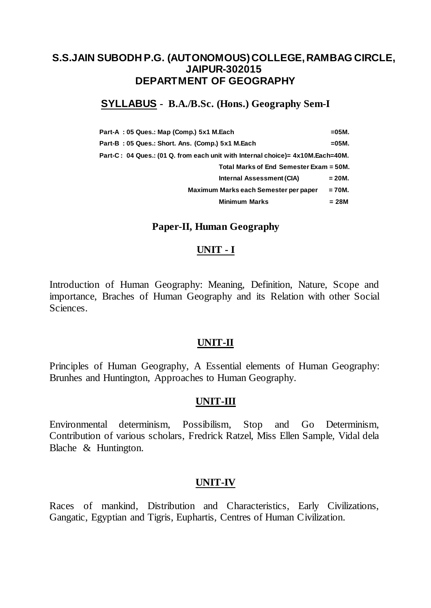# **SYLLABUS - B.A./B.Sc. (Hons.) Geography Sem-I**

| Part-A: 05 Ques.: Map (Comp.) 5x1 M.Each                                       | $= 05M$ . |
|--------------------------------------------------------------------------------|-----------|
| Part-B: 05 Ques.: Short. Ans. (Comp.) 5x1 M.Each                               | =05M.     |
| Part-C: 04 Ques.: (01 Q. from each unit with Internal choice)= 4x10M.Each=40M. |           |
| Total Marks of End Semester Exam = 50M.                                        |           |
| Internal Assessment (CIA)                                                      | $= 20M.$  |
| Maximum Marks each Semester per paper                                          | $= 70M.$  |
| <b>Minimum Marks</b>                                                           | $= 28M$   |

#### **Paper-II, Human Geography**

#### **UNIT - I**

Introduction of Human Geography: Meaning, Definition, Nature, Scope and importance, Braches of Human Geography and its Relation with other Social Sciences.

#### **UNIT-II**

Principles of Human Geography, A Essential elements of Human Geography: Brunhes and Huntington, Approaches to Human Geography.

#### **UNIT-III**

Environmental determinism, Possibilism, Stop and Go Determinism, Contribution of various scholars, Fredrick Ratzel, Miss Ellen Sample, Vidal dela Blache & Huntington.

#### **UNIT-IV**

Races of mankind, Distribution and Characteristics, Early Civilizations, Gangatic, Egyptian and Tigris, Euphartis, Centres of Human Civilization.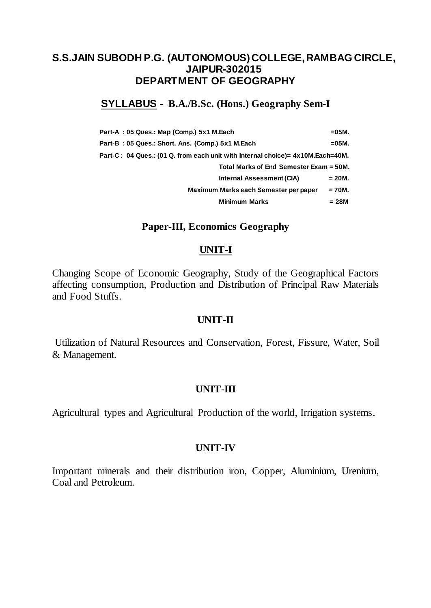## **SYLLABUS - B.A./B.Sc. (Hons.) Geography Sem-I**

| Part-A: 05 Ques.: Map (Comp.) 5x1 M.Each                                       | $= 05M$ . |
|--------------------------------------------------------------------------------|-----------|
| Part-B: 05 Ques.: Short. Ans. (Comp.) 5x1 M.Each                               | $=05M$ .  |
| Part-C: 04 Ques.: (01 Q. from each unit with Internal choice)= 4x10M.Each=40M. |           |
| Total Marks of End Semester Exam = 50M.                                        |           |
| Internal Assessment (CIA)                                                      | = 20M.    |
| Maximum Marks each Semester per paper                                          | $= 70M.$  |
| <b>Minimum Marks</b>                                                           | $= 28M$   |

### **Paper-III, Economics Geography**

### **UNIT-I**

Changing Scope of Economic Geography, Study of the Geographical Factors affecting consumption, Production and Distribution of Principal Raw Materials and Food Stuffs.

### **UNIT-II**

Utilization of Natural Resources and Conservation, Forest, Fissure, Water, Soil & Management.

### **UNIT-III**

Agricultural types and Agricultural Production of the world, Irrigation systems.

### **UNIT-IV**

Important minerals and their distribution iron, Copper, Aluminium, Ureniurn, Coal and Petroleum.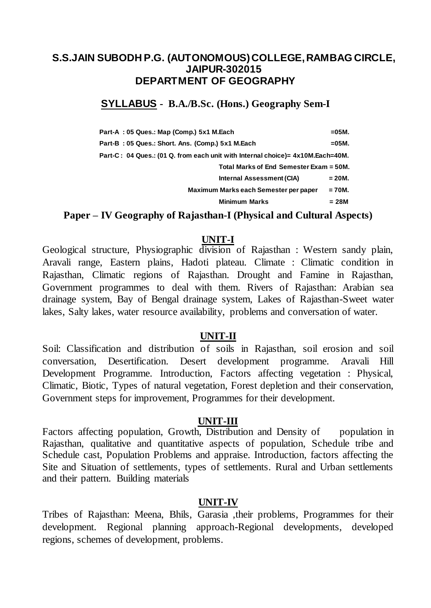## **SYLLABUS - B.A./B.Sc. (Hons.) Geography Sem-I**

| Part-A: 05 Ques.: Map (Comp.) 5x1 M.Each                                       | $=05M$ . |
|--------------------------------------------------------------------------------|----------|
| Part-B: 05 Ques.: Short. Ans. (Comp.) 5x1 M.Each                               | $=05M$ . |
| Part-C: 04 Ques.: (01 Q. from each unit with Internal choice)= 4x10M.Each=40M. |          |
| Total Marks of End Semester Exam = 50M.                                        |          |
| Internal Assessment (CIA)                                                      | $= 20M.$ |
| Maximum Marks each Semester per paper                                          | $= 70M.$ |
| <b>Minimum Marks</b>                                                           | $= 28M$  |

## **Paper – IV Geography of Rajasthan-I (Physical and Cultural Aspects)**

#### **UNIT-I**

Geological structure, Physiographic division of Rajasthan : Western sandy plain, Aravali range, Eastern plains, Hadoti plateau. Climate : Climatic condition in Rajasthan, Climatic regions of Rajasthan. Drought and Famine in Rajasthan, Government programmes to deal with them. Rivers of Rajasthan: Arabian sea drainage system, Bay of Bengal drainage system, Lakes of Rajasthan-Sweet water lakes, Salty lakes, water resource availability, problems and conversation of water.

#### **UNIT-II**

Soil: Classification and distribution of soils in Rajasthan, soil erosion and soil conversation, Desertification. Desert development programme. Aravali Hill Development Programme. Introduction, Factors affecting vegetation : Physical, Climatic, Biotic, Types of natural vegetation, Forest depletion and their conservation, Government steps for improvement, Programmes for their development.

### **UNIT-III**

Factors affecting population, Growth, Distribution and Density of population in Rajasthan, qualitative and quantitative aspects of population, Schedule tribe and Schedule cast, Population Problems and appraise. Introduction, factors affecting the Site and Situation of settlements, types of settlements. Rural and Urban settlements and their pattern. Building materials

#### **UNIT-IV**

Tribes of Rajasthan: Meena, Bhils, Garasia ,their problems, Programmes for their development. Regional planning approach-Regional developments, developed regions, schemes of development, problems.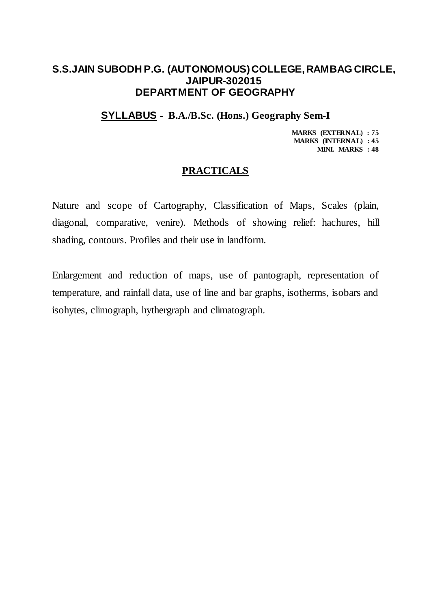## **SYLLABUS - B.A./B.Sc. (Hons.) Geography Sem-I**

**MARKS (EXTERNAL) : 75 MARKS (INTERNAL) : 45 MINI. MARKS : 48**

### **PRACTICALS**

Nature and scope of Cartography, Classification of Maps, Scales (plain, diagonal, comparative, venire). Methods of showing relief: hachures, hill shading, contours. Profiles and their use in landform.

Enlargement and reduction of maps, use of pantograph, representation of temperature, and rainfall data, use of line and bar graphs, isotherms, isobars and isohytes, climograph, hythergraph and climatograph.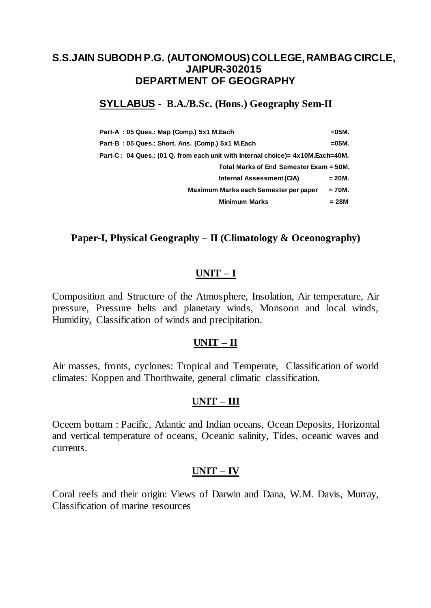## **SYLLABUS - B.A./B.Sc. (Hons.) Geography Sem-II**

| Part-A: 05 Ques.: Map (Comp.) 5x1 M.Each                                       | $= 05M$ . |
|--------------------------------------------------------------------------------|-----------|
| Part-B: 05 Ques.: Short. Ans. (Comp.) 5x1 M.Each                               | $=05M$ .  |
| Part-C: 04 Ques.: (01 Q. from each unit with Internal choice)= 4x10M.Each=40M. |           |
| Total Marks of End Semester Exam = 50M.                                        |           |
| Internal Assessment (CIA)                                                      | = 20M.    |
| Maximum Marks each Semester per paper                                          | $= 70M.$  |
| <b>Minimum Marks</b>                                                           | $= 28M$   |

### **Paper-I, Physical Geography – II (Climatology & Oceonography)**

### **UNIT – I**

Composition and Structure of the Atmosphere, Insolation, Air temperature, Air pressure, Pressure belts and planetary winds, Monsoon and local winds, Humidity, Classification of winds and precipitation.

### **UNIT – II**

Air masses, fronts, cyclones: Tropical and Temperate, Classification of world climates: Koppen and Thorthwaite, general climatic classification.

### **UNIT – III**

Oceem bottam : Pacific, Atlantic and Indian oceans, Ocean Deposits, Horizontal and vertical temperature of oceans, Oceanic salinity, Tides, oceanic waves and currents.

## **UNIT – IV**

Coral reefs and their origin: Views of Darwin and Dana, W.M. Davis, Murray, Classification of marine resources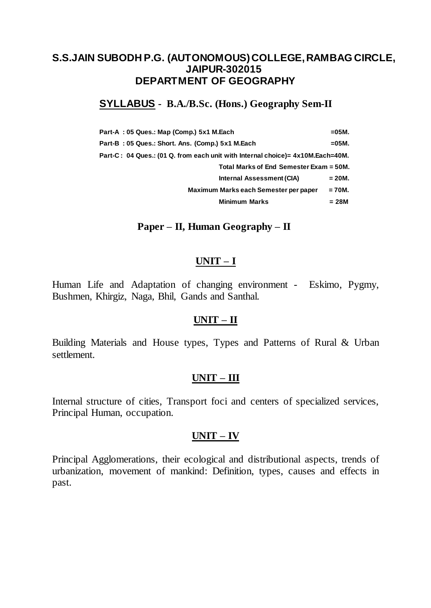# **SYLLABUS - B.A./B.Sc. (Hons.) Geography Sem-II**

| Part-A: 05 Ques.: Map (Comp.) 5x1 M.Each                                       | $=05M$ . |
|--------------------------------------------------------------------------------|----------|
| Part-B: 05 Ques.: Short. Ans. (Comp.) 5x1 M.Each                               | $=05M$ . |
| Part-C: 04 Ques.: (01 Q. from each unit with Internal choice)= 4x10M.Each=40M. |          |
| Total Marks of End Semester Exam = 50M.                                        |          |
| Internal Assessment (CIA)                                                      | $= 20M.$ |
| Maximum Marks each Semester per paper                                          | $= 70M.$ |
| <b>Minimum Marks</b>                                                           | = 28M    |

### **Paper – II, Human Geography – II**

### **UNIT – I**

Human Life and Adaptation of changing environment - Eskimo, Pygmy, Bushmen, Khirgiz, Naga, Bhil, Gands and Santhal.

### **UNIT – II**

Building Materials and House types, Types and Patterns of Rural & Urban settlement.

### **UNIT – III**

Internal structure of cities, Transport foci and centers of specialized services, Principal Human, occupation.

### **UNIT – IV**

Principal Agglomerations, their ecological and distributional aspects, trends of urbanization, movement of mankind: Definition, types, causes and effects in past.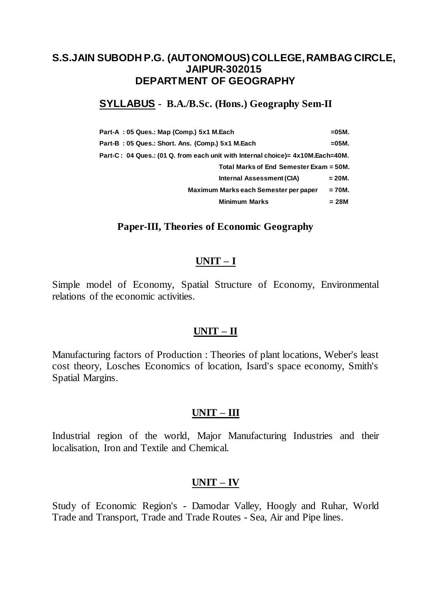# **SYLLABUS - B.A./B.Sc. (Hons.) Geography Sem-II**

| Part-A: 05 Ques.: Map (Comp.) 5x1 M.Each                                       | $=05M$ .  |
|--------------------------------------------------------------------------------|-----------|
| Part-B: 05 Ques.: Short. Ans. (Comp.) 5x1 M.Each                               | $= 05M$ . |
| Part-C: 04 Ques.: (01 Q. from each unit with Internal choice)= 4x10M.Each=40M. |           |
| Total Marks of End Semester Exam = 50M.                                        |           |
| Internal Assessment (CIA)                                                      | $= 20M.$  |
| Maximum Marks each Semester per paper                                          | $= 70M.$  |
| <b>Minimum Marks</b>                                                           | = 28M     |

### **Paper-III, Theories of Economic Geography**

#### **UNIT – I**

Simple model of Economy, Spatial Structure of Economy, Environmental relations of the economic activities.

#### **UNIT – II**

Manufacturing factors of Production : Theories of plant locations, Weber's least cost theory, Losches Economics of location, Isard's space economy, Smith's Spatial Margins.

#### **UNIT – III**

Industrial region of the world, Major Manufacturing Industries and their localisation, Iron and Textile and Chemical.

### **UNIT – IV**

Study of Economic Region's - Damodar Valley, Hoogly and Ruhar, World Trade and Transport, Trade and Trade Routes - Sea, Air and Pipe lines.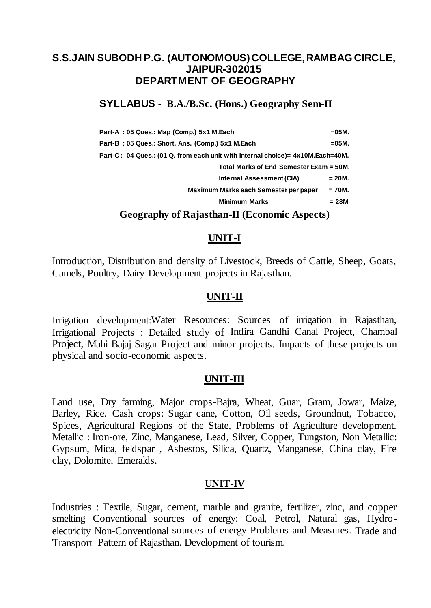## **SYLLABUS - B.A./B.Sc. (Hons.) Geography Sem-II**

| Part-A: 05 Ques.: Map (Comp.) 5x1 M.Each                                       | $=05M$ . |
|--------------------------------------------------------------------------------|----------|
| Part-B: 05 Ques.: Short. Ans. (Comp.) 5x1 M.Each                               | $=05M$ . |
| Part-C: 04 Ques.: (01 Q. from each unit with Internal choice)= 4x10M.Each=40M. |          |
| Total Marks of End Semester Exam = 50M.                                        |          |
| Internal Assessment (CIA)                                                      | $= 20M.$ |
| Maximum Marks each Semester per paper                                          | $= 70M.$ |
| <b>Minimum Marks</b>                                                           | $= 28M$  |
|                                                                                |          |

### **Geography of Rajasthan-II (Economic Aspects)**

#### **UNIT-I**

Introduction, Distribution and density of Livestock, Breeds of Cattle, Sheep, Goats, Camels, Poultry, Dairy Development projects in Rajasthan.

#### **UNIT-II**

Irrigation development:Water Resources: Sources of irrigation in Rajasthan, Irrigational Projects : Detailed study of Indira Gandhi Canal Project, Chambal Project, Mahi Bajaj Sagar Project and minor projects. Impacts of these projects on physical and socio-economic aspects.

#### **UNIT-III**

Land use, Dry farming, Major crops-Bajra, Wheat, Guar, Gram, Jowar, Maize, Barley, Rice. Cash crops: Sugar cane, Cotton, Oil seeds, Groundnut, Tobacco, Spices, Agricultural Regions of the State, Problems of Agriculture development. Metallic : Iron-ore, Zinc, Manganese, Lead, Silver, Copper, Tungston, Non Metallic: Gypsum, Mica, feldspar , Asbestos, Silica, Quartz, Manganese, China clay, Fire clay, Dolomite, Emeralds.

#### **UNIT-IV**

Industries : Textile, Sugar, cement, marble and granite, fertilizer, zinc, and copper smelting Conventional sources of energy: Coal, Petrol, Natural gas, Hydroelectricity Non-Conventional sources of energy Problems and Measures. Trade and Transport Pattern of Rajasthan. Development of tourism.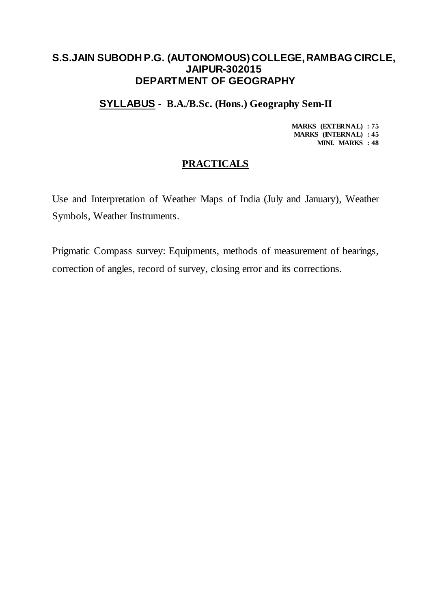**SYLLABUS - B.A./B.Sc. (Hons.) Geography Sem-II**

**MARKS (EXTERNAL) : 75 MARKS (INTERNAL) : 45 MINI. MARKS : 48**

## **PRACTICALS**

Use and Interpretation of Weather Maps of India (July and January), Weather Symbols, Weather Instruments.

Prigmatic Compass survey: Equipments, methods of measurement of bearings, correction of angles, record of survey, closing error and its corrections.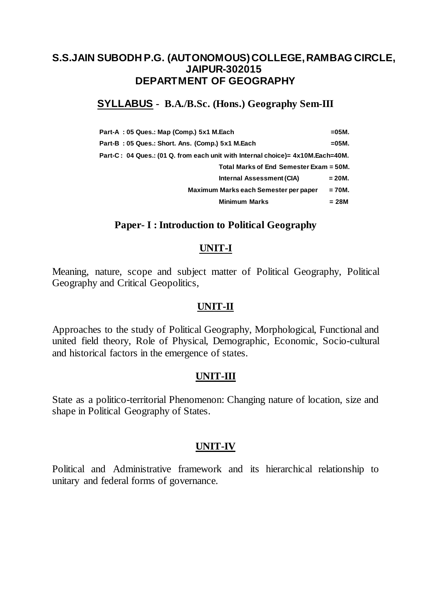## **SYLLABUS - B.A./B.Sc. (Hons.) Geography Sem-III**

| Part-A: 05 Ques.: Map (Comp.) 5x1 M.Each                                       | $=05M$ . |
|--------------------------------------------------------------------------------|----------|
| Part-B: 05 Ques.: Short. Ans. (Comp.) 5x1 M.Each                               | =05M.    |
| Part-C: 04 Ques.: (01 Q. from each unit with Internal choice)= 4x10M.Each=40M. |          |
| Total Marks of End Semester Exam = 50M.                                        |          |
| Internal Assessment (CIA)                                                      | $= 20M.$ |
| Maximum Marks each Semester per paper                                          | $= 70M.$ |
| <b>Minimum Marks</b>                                                           | = 28M    |

### **Paper- I : Introduction to Political Geography**

### **UNIT-I**

Meaning, nature, scope and subject matter of Political Geography, Political Geography and Critical Geopolitics,

### **UNIT-II**

Approaches to the study of Political Geography, Morphological, Functional and united field theory, Role of Physical, Demographic, Economic, Socio-cultural and historical factors in the emergence of states.

### **UNIT-III**

State as a politico-territorial Phenomenon: Changing nature of location, size and shape in Political Geography of States.

## **UNIT-IV**

Political and Administrative framework and its hierarchical relationship to unitary and federal forms of governance.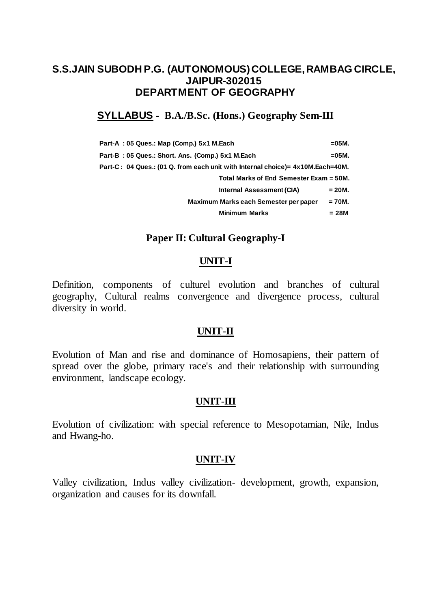## **SYLLABUS - B.A./B.Sc. (Hons.) Geography Sem-III**

| Part-A: 05 Ques.: Map (Comp.) 5x1 M.Each                                       | $= 05M$ . |
|--------------------------------------------------------------------------------|-----------|
| Part-B: 05 Ques.: Short. Ans. (Comp.) 5x1 M.Each                               | $=05M$ .  |
| Part-C: 04 Ques.: (01 Q. from each unit with Internal choice)= 4x10M.Each=40M. |           |
| Total Marks of End Semester Exam = 50M.                                        |           |
| Internal Assessment (CIA)                                                      | $= 20M.$  |
| Maximum Marks each Semester per paper                                          | = 70M.    |
| <b>Minimum Marks</b>                                                           | = 28M     |

### **Paper II: Cultural Geography-I**

### **UNIT-I**

Definition, components of culturel evolution and branches of cultural geography, Cultural realms convergence and divergence process, cultural diversity in world.

### **UNIT-II**

Evolution of Man and rise and dominance of Homosapiens, their pattern of spread over the globe, primary race's and their relationship with surrounding environment, landscape ecology.

#### **UNIT-III**

Evolution of civilization: with special reference to Mesopotamian, Nile, Indus and Hwang-ho.

### **UNIT-IV**

Valley civilization, Indus valley civilization- development, growth, expansion, organization and causes for its downfall.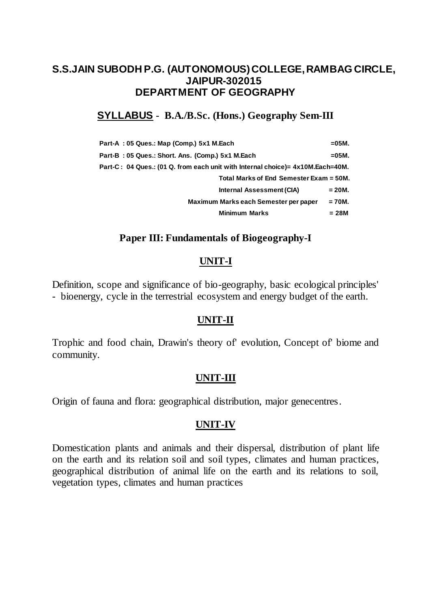# **SYLLABUS - B.A./B.Sc. (Hons.) Geography Sem-III**

| Part-A: 05 Ques.: Map (Comp.) 5x1 M.Each                                       | $= 05M$ . |
|--------------------------------------------------------------------------------|-----------|
| Part-B: 05 Ques.: Short. Ans. (Comp.) 5x1 M.Each                               | $= 05M$ . |
| Part-C: 04 Ques.: (01 Q. from each unit with Internal choice)= 4x10M.Each=40M. |           |
| Total Marks of End Semester Exam = 50M.                                        |           |
| Internal Assessment (CIA)                                                      | = 20M.    |
| Maximum Marks each Semester per paper                                          | $= 70M.$  |
| <b>Minimum Marks</b>                                                           | = 28M     |

## **Paper III: Fundamentals of Biogeography-I**

## **UNIT-I**

Definition, scope and significance of bio-geography, basic ecological principles' - bioenergy, cycle in the terrestrial ecosystem and energy budget of the earth.

### **UNIT-II**

Trophic and food chain, Drawin's theory of' evolution, Concept of' biome and community.

## **UNIT-III**

Origin of fauna and flora: geographical distribution, major genecentres.

### **UNIT-IV**

Domestication plants and animals and their dispersal, distribution of plant life on the earth and its relation soil and soil types, climates and human practices, geographical distribution of animal life on the earth and its relations to soil, vegetation types, climates and human practices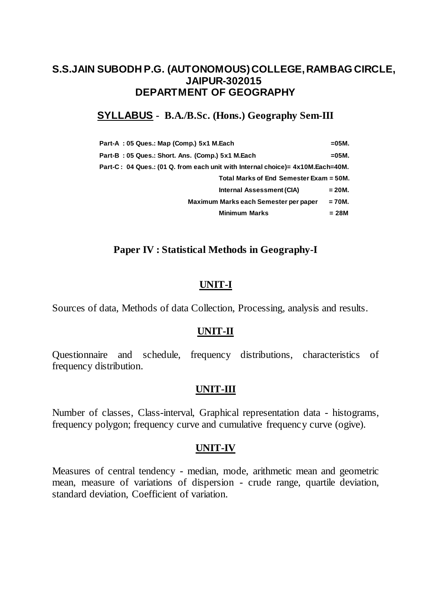## **SYLLABUS - B.A./B.Sc. (Hons.) Geography Sem-III**

| Part-A: 05 Ques.: Map (Comp.) 5x1 M.Each                                        | =05M.    |
|---------------------------------------------------------------------------------|----------|
| Part-B: 05 Ques.: Short. Ans. (Comp.) 5x1 M.Each                                | $=05M$ . |
| Part-C : 04 Ques.: (01 Q. from each unit with Internal choice)= 4x10M.Each=40M. |          |
| Total Marks of End Semester Exam = 50M.                                         |          |
| Internal Assessment (CIA)                                                       | $= 20M.$ |
| Maximum Marks each Semester per paper                                           | $= 70M.$ |
| <b>Minimum Marks</b>                                                            | = 28M    |

## **Paper IV : Statistical Methods in Geography-I**

## **UNIT-I**

Sources of data, Methods of data Collection, Processing, analysis and results.

### **UNIT-II**

Questionnaire and schedule, frequency distributions, characteristics of frequency distribution.

## **UNIT-III**

Number of classes, Class-interval, Graphical representation data - histograms, frequency polygon; frequency curve and cumulative frequency curve (ogive).

### **UNIT-IV**

Measures of central tendency - median, mode, arithmetic mean and geometric mean, measure of variations of dispersion - crude range, quartile deviation, standard deviation, Coefficient of variation.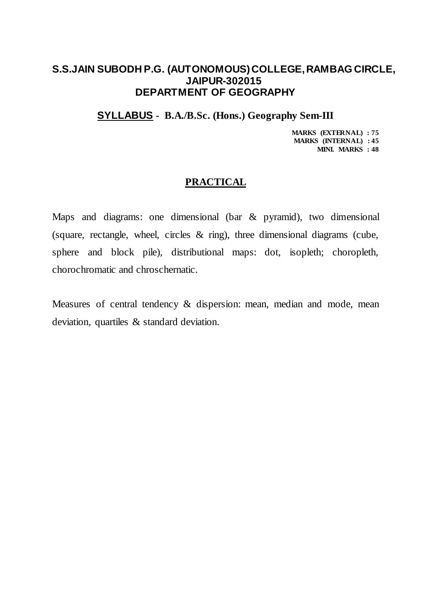### **SYLLABUS - B.A./B.Sc. (Hons.) Geography Sem-III**

**MARKS (EXTERNAL) : 75 MARKS (INTERNAL) : 45 MINI. MARKS : 48**

### **PRACTICAL**

Maps and diagrams: one dimensional (bar & pyramid), two dimensional (square, rectangle, wheel, circles  $\&$  ring), three dimensional diagrams (cube, sphere and block pile), distributional maps: dot, isopleth; choropleth, chorochromatic and chroschernatic.

Measures of central tendency & dispersion: mean, median and mode, mean deviation, quartiles & standard deviation.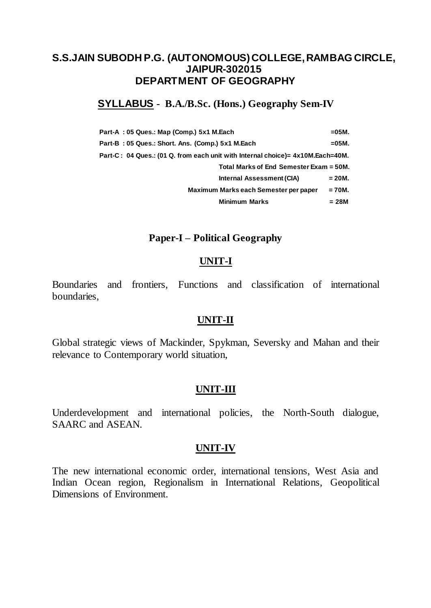## **SYLLABUS - B.A./B.Sc. (Hons.) Geography Sem-IV**

| Part-A: 05 Ques.: Map (Comp.) 5x1 M.Each                                       | $= 05M$ . |
|--------------------------------------------------------------------------------|-----------|
| Part-B: 05 Ques.: Short. Ans. (Comp.) 5x1 M.Each                               | $=05M$ .  |
| Part-C: 04 Ques.: (01 Q. from each unit with Internal choice)= 4x10M.Each=40M. |           |
| Total Marks of End Semester Exam = 50M.                                        |           |
| Internal Assessment (CIA)                                                      | = 20M.    |
| Maximum Marks each Semester per paper                                          | $= 70M.$  |
| <b>Minimum Marks</b>                                                           | $= 28M$   |

### **Paper-I – Political Geography**

### **UNIT-I**

Boundaries and frontiers, Functions and classification of international boundaries,

### **UNIT-II**

Global strategic views of Mackinder, Spykman, Seversky and Mahan and their relevance to Contemporary world situation,

### **UNIT-III**

Underdevelopment and international policies, the North-South dialogue, SAARC and ASEAN.

#### **UNIT-IV**

The new international economic order, international tensions, West Asia and Indian Ocean region, Regionalism in International Relations, Geopolitical Dimensions of Environment.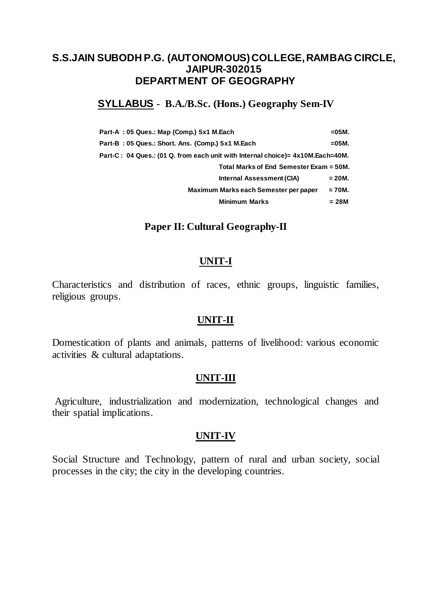## **SYLLABUS - B.A./B.Sc. (Hons.) Geography Sem-IV**

| Part-A: 05 Ques.: Map (Comp.) 5x1 M.Each                                       | $= 05M.$ |
|--------------------------------------------------------------------------------|----------|
| Part-B: 05 Ques.: Short. Ans. (Comp.) 5x1 M.Each                               | $=05M$ . |
| Part-C: 04 Ques.: (01 Q. from each unit with Internal choice)= 4x10M.Each=40M. |          |
| Total Marks of End Semester Exam = 50M.                                        |          |
| Internal Assessment (CIA)                                                      | $= 20M.$ |
| Maximum Marks each Semester per paper                                          | $= 70M.$ |
| <b>Minimum Marks</b>                                                           | $= 28M$  |

## **Paper II: Cultural Geography-II**

### **UNIT-I**

Characteristics and distribution of races, ethnic groups, linguistic families, religious groups.

### **UNIT-II**

Domestication of plants and animals, patterns of livelihood: various economic activities & cultural adaptations.

### **UNIT-III**

Agriculture, industrialization and modernization, technological changes and their spatial implications.

### **UNIT-IV**

Social Structure and Technology, pattern of rural and urban society, social processes in the city; the city in the developing countries.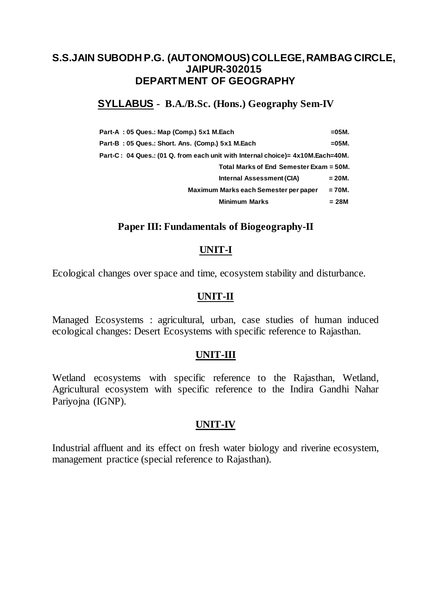## **SYLLABUS - B.A./B.Sc. (Hons.) Geography Sem-IV**

| Part-A: 05 Ques.: Map (Comp.) 5x1 M.Each                                       | $= 05M$ . |
|--------------------------------------------------------------------------------|-----------|
| Part-B: 05 Ques.: Short. Ans. (Comp.) 5x1 M.Each                               | $=05M$ .  |
| Part-C: 04 Ques.: (01 Q. from each unit with Internal choice)= 4x10M.Each=40M. |           |
| Total Marks of End Semester Exam = 50M.                                        |           |
| Internal Assessment (CIA)                                                      | = 20M.    |
| Maximum Marks each Semester per paper                                          | $= 70M.$  |
| <b>Minimum Marks</b>                                                           | $= 28M$   |

## **Paper III: Fundamentals of Biogeography-II**

### **UNIT-I**

Ecological changes over space and time, ecosystem stability and disturbance.

### **UNIT-II**

Managed Ecosystems : agricultural, urban, case studies of human induced ecological changes: Desert Ecosystems with specific reference to Rajasthan.

### **UNIT-III**

Wetland ecosystems with specific reference to the Rajasthan, Wetland, Agricultural ecosystem with specific reference to the Indira Gandhi Nahar Pariyojna (IGNP).

### **UNIT-IV**

Industrial affluent and its effect on fresh water biology and riverine ecosystem, management practice (special reference to Rajasthan).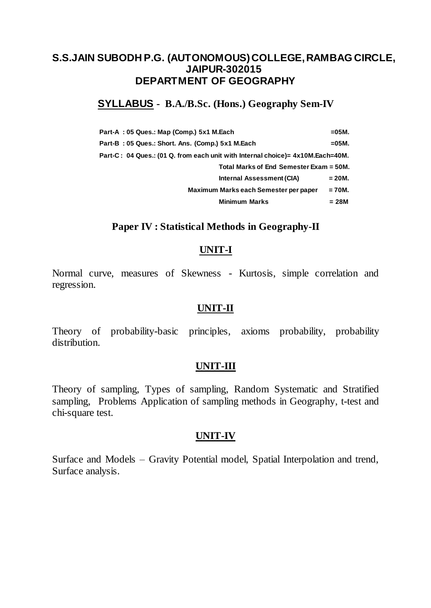# **SYLLABUS - B.A./B.Sc. (Hons.) Geography Sem-IV**

| Part-A: 05 Ques.: Map (Comp.) 5x1 M.Each                                       | $= 05M$ . |
|--------------------------------------------------------------------------------|-----------|
| Part-B: 05 Ques.: Short. Ans. (Comp.) 5x1 M.Each                               | $=05M$ .  |
| Part-C: 04 Ques.: (01 Q. from each unit with Internal choice)= 4x10M.Each=40M. |           |
| Total Marks of End Semester Exam = 50M.                                        |           |
| Internal Assessment (CIA)                                                      | = 20M.    |
| Maximum Marks each Semester per paper                                          | $= 70M.$  |
| <b>Minimum Marks</b>                                                           | $= 28M$   |

### **Paper IV : Statistical Methods in Geography-II**

#### **UNIT-I**

Normal curve, measures of Skewness - Kurtosis, simple correlation and regression.

### **UNIT-II**

Theory of probability-basic principles, axioms probability, probability distribution.

#### **UNIT-III**

Theory of sampling, Types of sampling, Random Systematic and Stratified sampling, Problems Application of sampling methods in Geography, t-test and chi-square test.

#### **UNIT-IV**

Surface and Models – Gravity Potential model, Spatial Interpolation and trend, Surface analysis.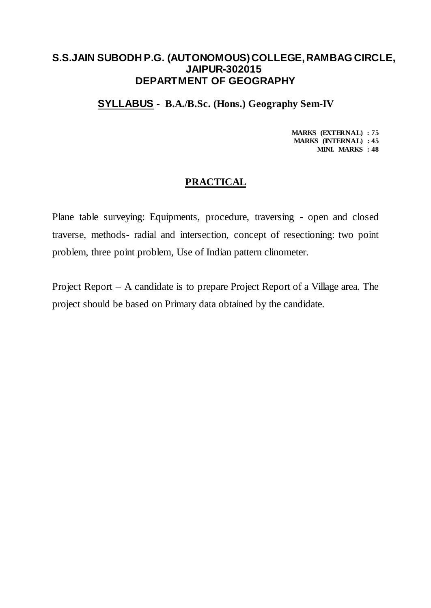### **SYLLABUS - B.A./B.Sc. (Hons.) Geography Sem-IV**

**MARKS (EXTERNAL) : 75 MARKS (INTERNAL) : 45 MINI. MARKS : 48**

### **PRACTICAL**

Plane table surveying: Equipments, procedure, traversing - open and closed traverse, methods- radial and intersection, concept of resectioning: two point problem, three point problem, Use of Indian pattern clinometer.

Project Report – A candidate is to prepare Project Report of a Village area. The project should be based on Primary data obtained by the candidate.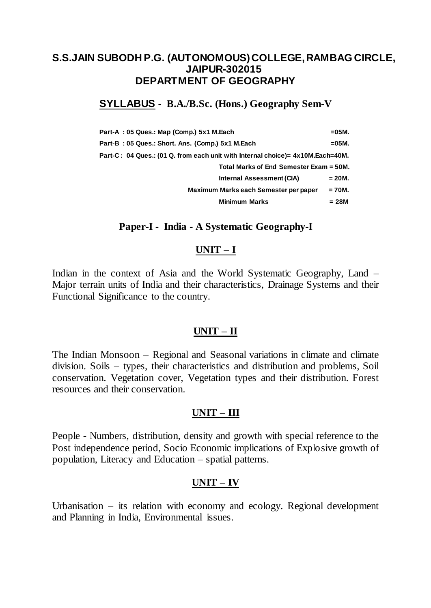## **SYLLABUS - B.A./B.Sc. (Hons.) Geography Sem-V**

| Part-A: 05 Ques.: Map (Comp.) 5x1 M.Each                                       | $=05M$ . |
|--------------------------------------------------------------------------------|----------|
| Part-B: 05 Ques.: Short. Ans. (Comp.) 5x1 M.Each                               | =05M.    |
| Part-C: 04 Ques.: (01 Q. from each unit with Internal choice)= 4x10M.Each=40M. |          |
| Total Marks of End Semester Exam = 50M.                                        |          |
| Internal Assessment (CIA)                                                      | $= 20M.$ |
| Maximum Marks each Semester per paper                                          | $= 70M.$ |
| <b>Minimum Marks</b>                                                           | = 28M    |

### **Paper-I - India - A Systematic Geography-I**

### **UNIT – I**

Indian in the context of Asia and the World Systematic Geography, Land – Major terrain units of India and their characteristics, Drainage Systems and their Functional Significance to the country.

### **UNIT – II**

The Indian Monsoon – Regional and Seasonal variations in climate and climate division. Soils – types, their characteristics and distribution and problems, Soil conservation. Vegetation cover, Vegetation types and their distribution. Forest resources and their conservation.

### **UNIT – III**

People - Numbers, distribution, density and growth with special reference to the Post independence period, Socio Economic implications of Explosive growth of population, Literacy and Education – spatial patterns.

## **UNIT – IV**

Urbanisation – its relation with economy and ecology. Regional development and Planning in India, Environmental issues.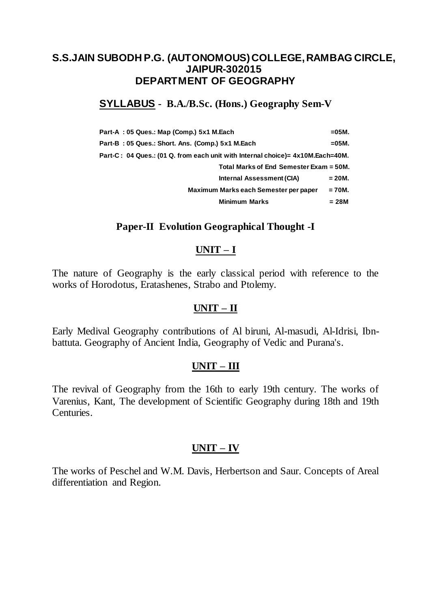## **SYLLABUS - B.A./B.Sc. (Hons.) Geography Sem-V**

| Part-A: 05 Ques.: Map (Comp.) 5x1 M.Each                                       | $=05M$ . |
|--------------------------------------------------------------------------------|----------|
| Part-B: 05 Ques.: Short. Ans. (Comp.) 5x1 M.Each                               | =05M.    |
| Part-C: 04 Ques.: (01 Q. from each unit with Internal choice)= 4x10M.Each=40M. |          |
| Total Marks of End Semester Exam = 50M.                                        |          |
| Internal Assessment (CIA)                                                      | $= 20M.$ |
| Maximum Marks each Semester per paper                                          | $= 70M.$ |
| <b>Minimum Marks</b>                                                           | = 28M    |

## **Paper-II Evolution Geographical Thought -I**

### **UNIT – I**

The nature of Geography is the early classical period with reference to the works of Horodotus, Eratashenes, Strabo and Ptolemy.

## **UNIT – II**

Early Medival Geography contributions of Al biruni, Al-masudi, Al-Idrisi, Ibnbattuta. Geography of Ancient India, Geography of Vedic and Purana's.

### **UNIT – III**

The revival of Geography from the 16th to early 19th century. The works of Varenius, Kant, The development of Scientific Geography during 18th and 19th Centuries.

## **UNIT – IV**

The works of Peschel and W.M. Davis, Herbertson and Saur. Concepts of Areal differentiation and Region.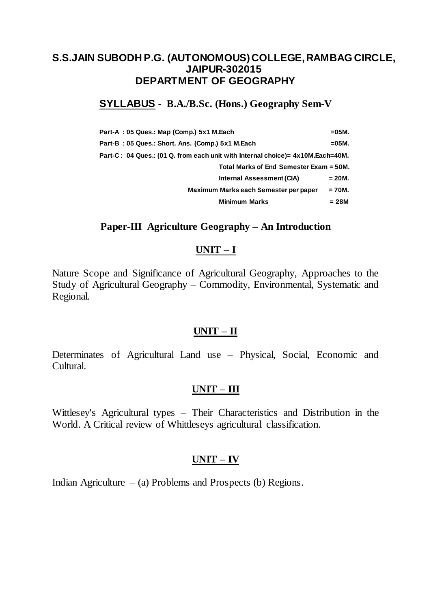## **SYLLABUS - B.A./B.Sc. (Hons.) Geography Sem-V**

| Part-A: 05 Ques.: Map (Comp.) 5x1 M.Each                                        | $=05M$ . |
|---------------------------------------------------------------------------------|----------|
| Part-B: 05 Ques.: Short. Ans. (Comp.) 5x1 M.Each                                | $=05M$ . |
| Part-C : 04 Ques.: (01 Q. from each unit with Internal choice)= 4x10M.Each=40M. |          |
| Total Marks of End Semester Exam = 50M.                                         |          |
| Internal Assessment (CIA)                                                       | $= 20M.$ |
| Maximum Marks each Semester per paper                                           | $= 70M.$ |
| <b>Minimum Marks</b>                                                            | = 28M    |

### **Paper-III Agriculture Geography – An Introduction**

### **UNIT – I**

Nature Scope and Significance of Agricultural Geography, Approaches to the Study of Agricultural Geography – Commodity, Environmental, Systematic and Regional.

## **UNIT – II**

Determinates of Agricultural Land use – Physical, Social, Economic and Cultural.

# **UNIT – III**

Wittlesey's Agricultural types – Their Characteristics and Distribution in the World. A Critical review of Whittleseys agricultural classification.

## **UNIT – IV**

Indian Agriculture  $-$  (a) Problems and Prospects (b) Regions.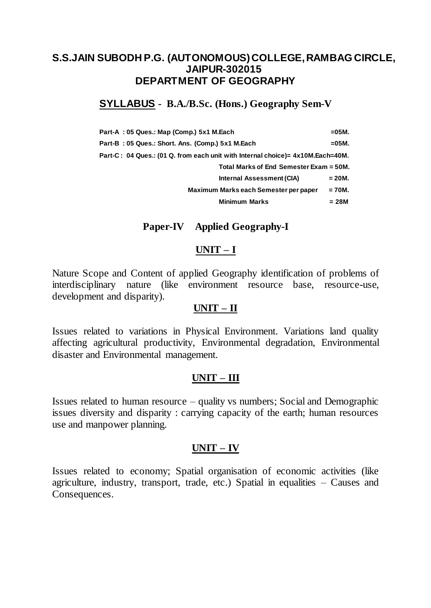# **SYLLABUS - B.A./B.Sc. (Hons.) Geography Sem-V**

| Part-A: 05 Ques.: Map (Comp.) 5x1 M.Each                                       | $=05M$ . |
|--------------------------------------------------------------------------------|----------|
| Part-B: 05 Ques.: Short. Ans. (Comp.) 5x1 M.Each                               | =05M.    |
| Part-C: 04 Ques.: (01 Q. from each unit with Internal choice)= 4x10M.Each=40M. |          |
| Total Marks of End Semester Exam = 50M.                                        |          |
| Internal Assessment (CIA)                                                      | $= 20M.$ |
| Maximum Marks each Semester per paper                                          | = 70M.   |
| <b>Minimum Marks</b>                                                           | = 28M    |

### **Paper-IV Applied Geography-I**

#### **UNIT – I**

Nature Scope and Content of applied Geography identification of problems of interdisciplinary nature (like environment resource base, resource-use, development and disparity).

#### **UNIT – II**

Issues related to variations in Physical Environment. Variations land quality affecting agricultural productivity, Environmental degradation, Environmental disaster and Environmental management.

### **UNIT – III**

Issues related to human resource – quality vs numbers; Social and Demographic issues diversity and disparity : carrying capacity of the earth; human resources use and manpower planning.

### **UNIT – IV**

Issues related to economy; Spatial organisation of economic activities (like agriculture, industry, transport, trade, etc.) Spatial in equalities – Causes and Consequences.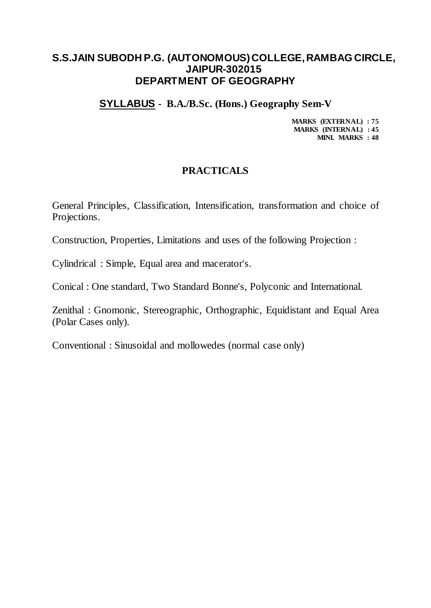### **SYLLABUS - B.A./B.Sc. (Hons.) Geography Sem-V**

**MARKS (EXTERNAL) : 75 MARKS (INTERNAL) : 45 MINI. MARKS : 48**

## **PRACTICALS**

General Principles, Classification, Intensification, transformation and choice of Projections.

Construction, Properties, Limitations and uses of the following Projection :

Cylindrical : Simple, Equal area and macerator's.

Conical : One standard, Two Standard Bonne's, Polyconic and International.

Zenithal : Gnomonic, Stereographic, Orthographic, Equidistant and Equal Area (Polar Cases only).

Conventional : Sinusoidal and mollowedes (normal case only)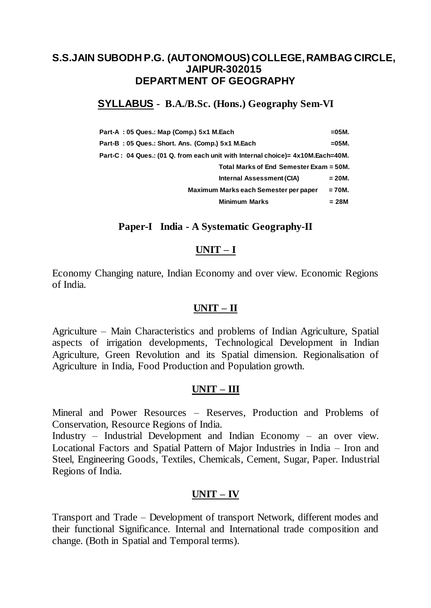## **SYLLABUS - B.A./B.Sc. (Hons.) Geography Sem-VI**

| Part-A: 05 Ques.: Map (Comp.) 5x1 M.Each                                        | $=05M$ . |
|---------------------------------------------------------------------------------|----------|
| Part-B: 05 Ques.: Short. Ans. (Comp.) 5x1 M.Each                                | $=05M$ . |
| Part-C : 04 Ques.: (01 Q. from each unit with Internal choice)= 4x10M.Each=40M. |          |
| Total Marks of End Semester Exam = 50M.                                         |          |
| Internal Assessment (CIA)                                                       | = 20M.   |
| Maximum Marks each Semester per paper                                           | $= 70M.$ |
| <b>Minimum Marks</b>                                                            | = 28M    |

### **Paper-I India - A Systematic Geography-II**

### **UNIT – I**

Economy Changing nature, Indian Economy and over view. Economic Regions of India.

### **UNIT – II**

Agriculture – Main Characteristics and problems of Indian Agriculture, Spatial aspects of irrigation developments, Technological Development in Indian Agriculture, Green Revolution and its Spatial dimension. Regionalisation of Agriculture in India, Food Production and Population growth.

## **UNIT – III**

Mineral and Power Resources – Reserves, Production and Problems of Conservation, Resource Regions of India.

Industry – Industrial Development and Indian Economy – an over view. Locational Factors and Spatial Pattern of Major Industries in India – Iron and Steel, Engineering Goods, Textiles, Chemicals, Cement, Sugar, Paper. Industrial Regions of India.

## **UNIT – IV**

Transport and Trade – Development of transport Network, different modes and their functional Significance. Internal and International trade composition and change. (Both in Spatial and Temporal terms).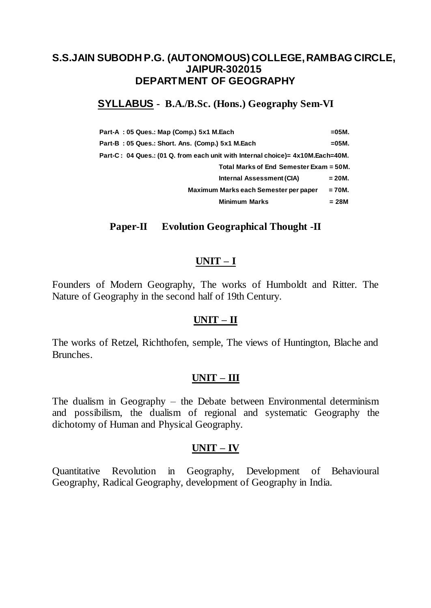# **SYLLABUS - B.A./B.Sc. (Hons.) Geography Sem-VI**

| Part-A: 05 Ques.: Map (Comp.) 5x1 M.Each                                       | $=05M$ . |
|--------------------------------------------------------------------------------|----------|
| Part-B: 05 Ques.: Short. Ans. (Comp.) 5x1 M.Each                               | $=05M$ . |
| Part-C: 04 Ques.: (01 Q. from each unit with Internal choice)= 4x10M.Each=40M. |          |
| Total Marks of End Semester Exam = 50M.                                        |          |
| Internal Assessment (CIA)                                                      | $= 20M.$ |
| Maximum Marks each Semester per paper                                          | $= 70M.$ |
| <b>Minimum Marks</b>                                                           | = 28M    |

## **Paper-II Evolution Geographical Thought -II**

### **UNIT – I**

Founders of Modern Geography, The works of Humboldt and Ritter. The Nature of Geography in the second half of 19th Century.

### **UNIT – II**

The works of Retzel, Richthofen, semple, The views of Huntington, Blache and Brunches.

### **UNIT – III**

The dualism in Geography – the Debate between Environmental determinism and possibilism, the dualism of regional and systematic Geography the dichotomy of Human and Physical Geography.

### **UNIT – IV**

Quantitative Revolution in Geography, Development of Behavioural Geography, Radical Geography, development of Geography in India.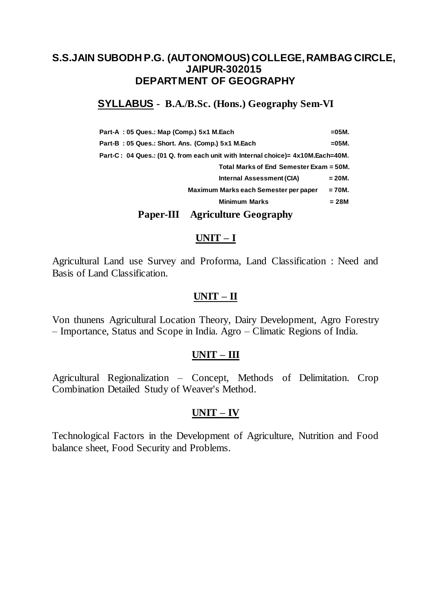## **SYLLABUS - B.A./B.Sc. (Hons.) Geography Sem-VI**

| Part-A: 05 Ques.: Map (Comp.) 5x1 M.Each                                       | $=05M$ . |
|--------------------------------------------------------------------------------|----------|
| Part-B: 05 Ques.: Short. Ans. (Comp.) 5x1 M.Each                               | $=05M$ . |
| Part-C: 04 Ques.: (01 Q. from each unit with Internal choice)= 4x10M.Each=40M. |          |
| Total Marks of End Semester Exam = 50M.                                        |          |
| Internal Assessment (CIA)                                                      | = 20M.   |
| Maximum Marks each Semester per paper                                          | $= 70M.$ |
| <b>Minimum Marks</b>                                                           | $= 28M$  |
|                                                                                |          |

## **Paper-III Agriculture Geography**

#### **UNIT – I**

Agricultural Land use Survey and Proforma, Land Classification : Need and Basis of Land Classification.

### **UNIT – II**

Von thunens Agricultural Location Theory, Dairy Development, Agro Forestry – Importance, Status and Scope in India. Agro – Climatic Regions of India.

### **UNIT – III**

Agricultural Regionalization – Concept, Methods of Delimitation. Crop Combination Detailed Study of Weaver's Method.

### **UNIT – IV**

Technological Factors in the Development of Agriculture, Nutrition and Food balance sheet, Food Security and Problems.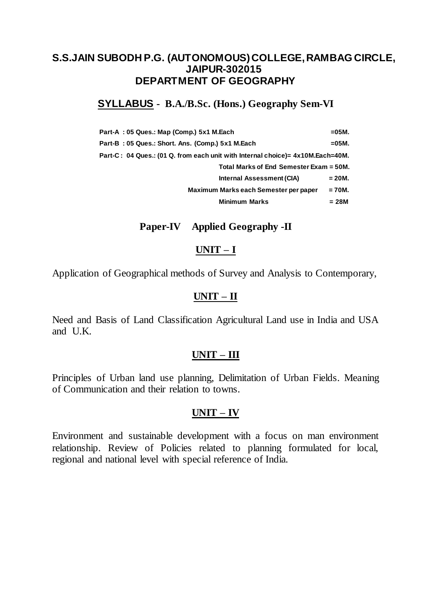## **SYLLABUS - B.A./B.Sc. (Hons.) Geography Sem-VI**

| Part-A: 05 Ques.: Map (Comp.) 5x1 M.Each                                       | $= 05M$ . |
|--------------------------------------------------------------------------------|-----------|
| Part-B: 05 Ques.: Short. Ans. (Comp.) 5x1 M.Each                               | $=05M$ .  |
| Part-C: 04 Ques.: (01 Q. from each unit with Internal choice)= 4x10M.Each=40M. |           |
| Total Marks of End Semester Exam = 50M.                                        |           |
| Internal Assessment (CIA)                                                      | = 20M.    |
| Maximum Marks each Semester per paper                                          | $= 70M.$  |
| <b>Minimum Marks</b>                                                           | $= 28M$   |

### **Paper-IV Applied Geography -II**

### **UNIT – I**

Application of Geographical methods of Survey and Analysis to Contemporary,

## **UNIT – II**

Need and Basis of Land Classification Agricultural Land use in India and USA and U.K.

## **UNIT – III**

Principles of Urban land use planning, Delimitation of Urban Fields. Meaning of Communication and their relation to towns.

## **UNIT – IV**

Environment and sustainable development with a focus on man environment relationship. Review of Policies related to planning formulated for local, regional and national level with special reference of India.